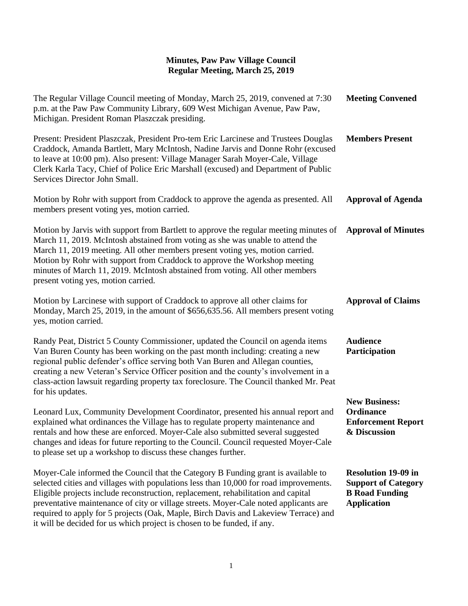| The Regular Village Council meeting of Monday, March 25, 2019, convened at 7:30<br>p.m. at the Paw Paw Community Library, 609 West Michigan Avenue, Paw Paw,<br>Michigan. President Roman Plaszczak presiding.                                                                                                                                                                                                                                               | <b>Meeting Convened</b>                                                                                 |
|--------------------------------------------------------------------------------------------------------------------------------------------------------------------------------------------------------------------------------------------------------------------------------------------------------------------------------------------------------------------------------------------------------------------------------------------------------------|---------------------------------------------------------------------------------------------------------|
| Present: President Plaszczak, President Pro-tem Eric Larcinese and Trustees Douglas<br>Craddock, Amanda Bartlett, Mary McIntosh, Nadine Jarvis and Donne Rohr (excused<br>to leave at 10:00 pm). Also present: Village Manager Sarah Moyer-Cale, Village<br>Clerk Karla Tacy, Chief of Police Eric Marshall (excused) and Department of Public<br>Services Director John Small.                                                                              | <b>Members Present</b>                                                                                  |
| Motion by Rohr with support from Craddock to approve the agenda as presented. All<br>members present voting yes, motion carried.                                                                                                                                                                                                                                                                                                                             | <b>Approval of Agenda</b>                                                                               |
| Motion by Jarvis with support from Bartlett to approve the regular meeting minutes of<br>March 11, 2019. McIntosh abstained from voting as she was unable to attend the<br>March 11, 2019 meeting. All other members present voting yes, motion carried.<br>Motion by Rohr with support from Craddock to approve the Workshop meeting<br>minutes of March 11, 2019. McIntosh abstained from voting. All other members<br>present voting yes, motion carried. | <b>Approval of Minutes</b>                                                                              |
| Motion by Larcinese with support of Craddock to approve all other claims for<br>Monday, March 25, 2019, in the amount of \$656,635.56. All members present voting<br>yes, motion carried.                                                                                                                                                                                                                                                                    | <b>Approval of Claims</b>                                                                               |
| Randy Peat, District 5 County Commissioner, updated the Council on agenda items<br>Van Buren County has been working on the past month including: creating a new<br>regional public defender's office serving both Van Buren and Allegan counties,<br>creating a new Veteran's Service Officer position and the county's involvement in a<br>class-action lawsuit regarding property tax foreclosure. The Council thanked Mr. Peat<br>for his updates.       | <b>Audience</b><br>Participation                                                                        |
| Leonard Lux, Community Development Coordinator, presented his annual report and<br>explained what ordinances the Village has to regulate property maintenance and<br>rentals and how these are enforced. Mover-Cale also submitted several suggested<br>changes and ideas for future reporting to the Council. Council requested Moyer-Cale<br>to please set up a workshop to discuss these changes further.                                                 | <b>New Business:</b><br>Ordinance<br><b>Enforcement Report</b><br>& Discussion                          |
| Moyer-Cale informed the Council that the Category B Funding grant is available to<br>selected cities and villages with populations less than 10,000 for road improvements.<br>Eligible projects include reconstruction, replacement, rehabilitation and capital<br>preventative maintenance of city or village streets. Moyer-Cale noted applicants are<br>required to apply for 5 projects (Oak, Maple, Birch Davis and Lakeview Terrace) and               | <b>Resolution 19-09 in</b><br><b>Support of Category</b><br><b>B</b> Road Funding<br><b>Application</b> |

it will be decided for us which project is chosen to be funded, if any.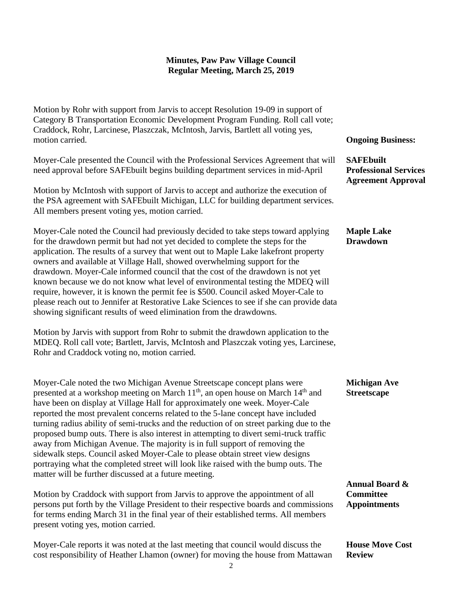Motion by Rohr with support from Jarvis to accept Resolution 19-09 in support of Category B Transportation Economic Development Program Funding. Roll call vote; Craddock, Rohr, Larcinese, Plaszczak, McIntosh, Jarvis, Bartlett all voting yes, motion carried.

Moyer-Cale presented the Council with the Professional Services Agreement that will need approval before SAFEbuilt begins building department services in mid-April

Motion by McIntosh with support of Jarvis to accept and authorize the execution of the PSA agreement with SAFEbuilt Michigan, LLC for building department services. All members present voting yes, motion carried.

Moyer-Cale noted the Council had previously decided to take steps toward applying for the drawdown permit but had not yet decided to complete the steps for the application. The results of a survey that went out to Maple Lake lakefront property owners and available at Village Hall, showed overwhelming support for the drawdown. Moyer-Cale informed council that the cost of the drawdown is not yet known because we do not know what level of environmental testing the MDEQ will require, however, it is known the permit fee is \$500. Council asked Moyer-Cale to please reach out to Jennifer at Restorative Lake Sciences to see if she can provide data showing significant results of weed elimination from the drawdowns.

Motion by Jarvis with support from Rohr to submit the drawdown application to the MDEQ. Roll call vote; Bartlett, Jarvis, McIntosh and Plaszczak voting yes, Larcinese, Rohr and Craddock voting no, motion carried.

Moyer-Cale noted the two Michigan Avenue Streetscape concept plans were presented at a workshop meeting on March  $11^{th}$ , an open house on March  $14^{th}$  and have been on display at Village Hall for approximately one week. Moyer-Cale reported the most prevalent concerns related to the 5-lane concept have included turning radius ability of semi-trucks and the reduction of on street parking due to the proposed bump outs. There is also interest in attempting to divert semi-truck traffic away from Michigan Avenue. The majority is in full support of removing the sidewalk steps. Council asked Moyer-Cale to please obtain street view designs portraying what the completed street will look like raised with the bump outs. The matter will be further discussed at a future meeting.

Motion by Craddock with support from Jarvis to approve the appointment of all persons put forth by the Village President to their respective boards and commissions for terms ending March 31 in the final year of their established terms. All members present voting yes, motion carried.

Moyer-Cale reports it was noted at the last meeting that council would discuss the cost responsibility of Heather Lhamon (owner) for moving the house from Mattawan

#### **Ongoing Business:**

**SAFEbuilt Professional Services Agreement Approval**

### **Maple Lake Drawdown**

### **Michigan Ave Streetscape**

**Annual Board & Committee Appointments**

**House Move Cost Review**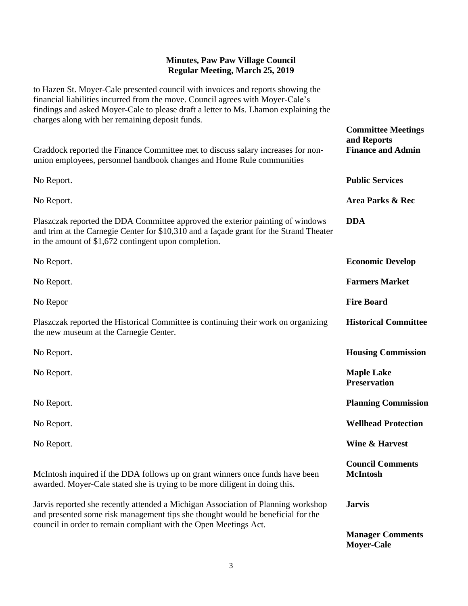to Hazen St. Moyer-Cale presented council with invoices and reports showing the financial liabilities incurred from the move. Council agrees with Moyer-Cale's findings and asked Moyer-Cale to please draft a letter to Ms. Lhamon explaining the charges along with her remaining deposit funds.

Craddock reported the Finance Committee met to discuss salary increases for nonunion employees, personnel handbook changes and Home Rule communities No Report. No Report. Plaszczak reported the DDA Committee approved the exterior painting of windows and trim at the Carnegie Center for \$10,310 and a façade grant for the Strand Theater in the amount of \$1,672 contingent upon completion. No Report. No Report. No Repor Plaszczak reported the Historical Committee is continuing their work on organizing the new museum at the Carnegie Center. No Report. No Report. No Report. No Report. No Report. McIntosh inquired if the DDA follows up on grant winners once funds have been awarded. Moyer-Cale stated she is trying to be more diligent in doing this. Jarvis reported she recently attended a Michigan Association of Planning workshop and presented some risk management tips she thought would be beneficial for the council in order to remain compliant with the Open Meetings Act. **Committee Meetings and Reports Finance and Admin Public Services Area Parks & Rec DDA Economic Develop Farmers Market Fire Board Historical Committee Housing Commission Maple Lake Preservation Planning Commission Wellhead Protection Wine & Harvest Council Comments McIntosh Jarvis**